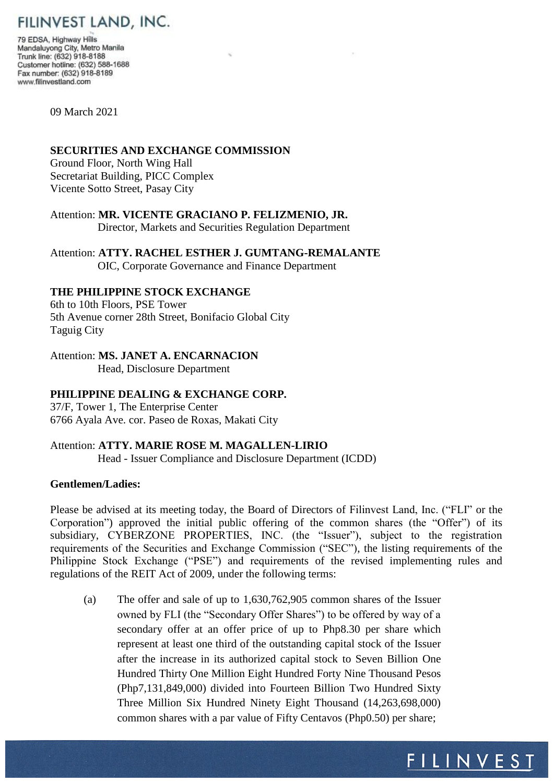# FILINVEST LAND, INC.

79 EDSA, Highway Hills Mandaluyong City, Metro Manila Trunk line: (632) 918-8188 Customer hotline: (632) 588-1688 Fax number: (632) 918-8189 www.filinvestland.com

09 March 2021

#### **SECURITIES AND EXCHANGE COMMISSION**

Ground Floor, North Wing Hall Secretariat Building, PICC Complex Vicente Sotto Street, Pasay City

Attention: **MR. VICENTE GRACIANO P. FELIZMENIO, JR.** Director, Markets and Securities Regulation Department

Attention: **ATTY. RACHEL ESTHER J. GUMTANG-REMALANTE** OIC, Corporate Governance and Finance Department

## **THE PHILIPPINE STOCK EXCHANGE**

6th to 10th Floors, PSE Tower 5th Avenue corner 28th Street, Bonifacio Global City Taguig City

#### Attention: **MS. JANET A. ENCARNACION**

Head, Disclosure Department

## **PHILIPPINE DEALING & EXCHANGE CORP.**

37/F, Tower 1, The Enterprise Center 6766 Ayala Ave. cor. Paseo de Roxas, Makati City

## Attention: **ATTY. MARIE ROSE M. MAGALLEN-LIRIO**

Head - Issuer Compliance and Disclosure Department (ICDD)

### **Gentlemen/Ladies:**

Please be advised at its meeting today, the Board of Directors of Filinvest Land, Inc. ("FLI" or the Corporation") approved the initial public offering of the common shares (the "Offer") of its subsidiary, CYBERZONE PROPERTIES, INC. (the "Issuer"), subject to the registration requirements of the Securities and Exchange Commission ("SEC"), the listing requirements of the Philippine Stock Exchange ("PSE") and requirements of the revised implementing rules and regulations of the REIT Act of 2009, under the following terms:

(a) The offer and sale of up to 1,630,762,905 common shares of the Issuer owned by FLI (the "Secondary Offer Shares") to be offered by way of a secondary offer at an offer price of up to Php8.30 per share which represent at least one third of the outstanding capital stock of the Issuer after the increase in its authorized capital stock to Seven Billion One Hundred Thirty One Million Eight Hundred Forty Nine Thousand Pesos (Php7,131,849,000) divided into Fourteen Billion Two Hundred Sixty Three Million Six Hundred Ninety Eight Thousand (14,263,698,000) common shares with a par value of Fifty Centavos (Php0.50) per share;